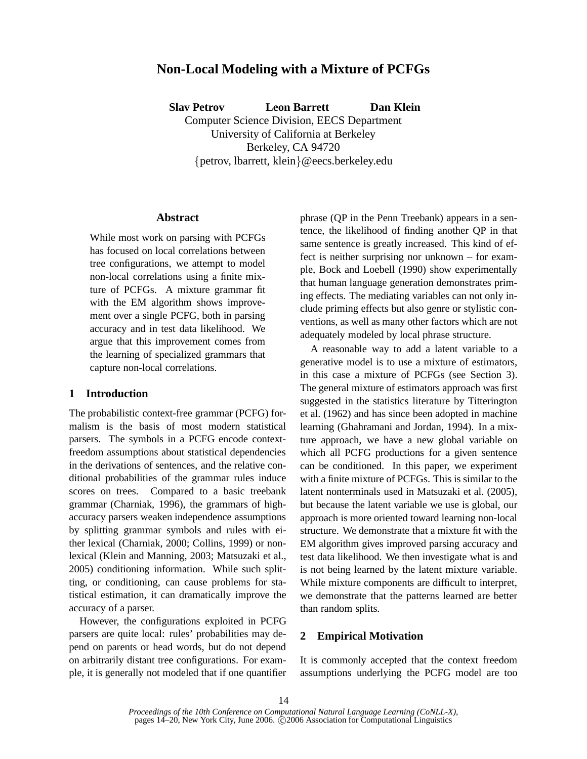# **Non-Local Modeling with a Mixture of PCFGs**

**Slav Petrov Leon Barrett Dan Klein** Computer Science Division, EECS Department University of California at Berkeley Berkeley, CA 94720

{petrov, lbarrett, klein}@eecs.berkeley.edu

## **Abstract**

While most work on parsing with PCFGs has focused on local correlations between tree configurations, we attempt to model non-local correlations using a finite mixture of PCFGs. A mixture grammar fit with the EM algorithm shows improvement over a single PCFG, both in parsing accuracy and in test data likelihood. We argue that this improvement comes from the learning of specialized grammars that capture non-local correlations.

# **1 Introduction**

The probabilistic context-free grammar (PCFG) formalism is the basis of most modern statistical parsers. The symbols in a PCFG encode contextfreedom assumptions about statistical dependencies in the derivations of sentences, and the relative conditional probabilities of the grammar rules induce scores on trees. Compared to a basic treebank grammar (Charniak, 1996), the grammars of highaccuracy parsers weaken independence assumptions by splitting grammar symbols and rules with either lexical (Charniak, 2000; Collins, 1999) or nonlexical (Klein and Manning, 2003; Matsuzaki et al., 2005) conditioning information. While such splitting, or conditioning, can cause problems for statistical estimation, it can dramatically improve the accuracy of a parser.

However, the configurations exploited in PCFG parsers are quite local: rules' probabilities may depend on parents or head words, but do not depend on arbitrarily distant tree configurations. For example, it is generally not modeled that if one quantifier phrase (QP in the Penn Treebank) appears in a sentence, the likelihood of finding another QP in that same sentence is greatly increased. This kind of effect is neither surprising nor unknown – for example, Bock and Loebell (1990) show experimentally that human language generation demonstrates priming effects. The mediating variables can not only include priming effects but also genre or stylistic conventions, as well as many other factors which are not adequately modeled by local phrase structure.

A reasonable way to add a latent variable to a generative model is to use a mixture of estimators, in this case a mixture of PCFGs (see Section 3). The general mixture of estimators approach was first suggested in the statistics literature by Titterington et al. (1962) and has since been adopted in machine learning (Ghahramani and Jordan, 1994). In a mixture approach, we have a new global variable on which all PCFG productions for a given sentence can be conditioned. In this paper, we experiment with a finite mixture of PCFGs. This is similar to the latent nonterminals used in Matsuzaki et al. (2005), but because the latent variable we use is global, our approach is more oriented toward learning non-local structure. We demonstrate that a mixture fit with the EM algorithm gives improved parsing accuracy and test data likelihood. We then investigate what is and is not being learned by the latent mixture variable. While mixture components are difficult to interpret, we demonstrate that the patterns learned are better than random splits.

#### **2 Empirical Motivation**

It is commonly accepted that the context freedom assumptions underlying the PCFG model are too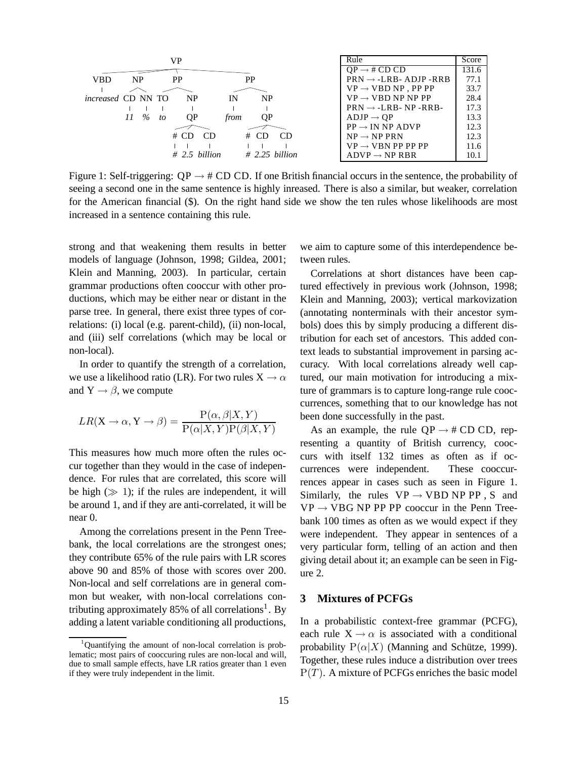|                           |           | VP               |      |                           | Rule                               | Score |
|---------------------------|-----------|------------------|------|---------------------------|------------------------------------|-------|
|                           |           |                  |      | $OP \rightarrow \# CD CD$ | 131.6                              |       |
| <b>VBD</b>                | <b>NP</b> | PP               | PP   |                           | $PRN \rightarrow -LRB - ADJP -RRB$ | 77.1  |
|                           |           |                  |      |                           | $VP \rightarrow VBD NP$ , PP PP    | 33.7  |
| <i>increased</i> CD NN TO |           | NP               | IN   | <b>NP</b>                 | $VP \rightarrow VBD NP NP PP$      | 28.4  |
|                           |           |                  |      |                           | $PRN \rightarrow -LRB - NP - RRB$  | 17.3  |
|                           | $11 \t%$  | ОP<br>to         | trom | ОP                        | $ADJP \rightarrow QP$              | 13.3  |
|                           |           |                  |      |                           | $PP \rightarrow IN NP ANDVP$       | 12.3  |
|                           |           | # CD             | CD.  | CD.<br># CD               | $NP \rightarrow NP PRN$            | 12.3  |
|                           |           |                  |      |                           | $VP \rightarrow VBN PP PP PP$      | 11.6  |
|                           |           | $\#$ 2.5 billion |      | $\#$ 2.25 billion         | $ADVP \rightarrow NP RBR$          | 10.1  |

Figure 1: Self-triggering:  $OP \rightarrow #CD$  CD. If one British financial occurs in the sentence, the probability of seeing a second one in the same sentence is highly inreased. There is also a similar, but weaker, correlation for the American financial (\$). On the right hand side we show the ten rules whose likelihoods are most increased in a sentence containing this rule.

strong and that weakening them results in better models of language (Johnson, 1998; Gildea, 2001; Klein and Manning, 2003). In particular, certain grammar productions often cooccur with other productions, which may be either near or distant in the parse tree. In general, there exist three types of correlations: (i) local (e.g. parent-child), (ii) non-local, and (iii) self correlations (which may be local or non-local).

In order to quantify the strength of a correlation, we use a likelihood ratio (LR). For two rules  $X \to \alpha$ and  $Y \rightarrow \beta$ , we compute

$$
LR(X \to \alpha, Y \to \beta) = \frac{P(\alpha, \beta | X, Y)}{P(\alpha | X, Y)P(\beta | X, Y)}
$$

This measures how much more often the rules occur together than they would in the case of independence. For rules that are correlated, this score will be high  $(\gg 1)$ ; if the rules are independent, it will be around 1, and if they are anti-correlated, it will be near 0.

Among the correlations present in the Penn Treebank, the local correlations are the strongest ones; they contribute 65% of the rule pairs with LR scores above 90 and 85% of those with scores over 200. Non-local and self correlations are in general common but weaker, with non-local correlations contributing approximately 85% of all correlations<sup>1</sup>. By adding a latent variable conditioning all productions, we aim to capture some of this interdependence between rules.

Correlations at short distances have been captured effectively in previous work (Johnson, 1998; Klein and Manning, 2003); vertical markovization (annotating nonterminals with their ancestor symbols) does this by simply producing a different distribution for each set of ancestors. This added context leads to substantial improvement in parsing accuracy. With local correlations already well captured, our main motivation for introducing a mixture of grammars is to capture long-range rule cooccurrences, something that to our knowledge has not been done successfully in the past.

As an example, the rule  $QP \rightarrow \# \text{CD } CD$ , representing a quantity of British currency, cooccurs with itself 132 times as often as if occurrences were independent. These cooccurrences appear in cases such as seen in Figure 1. Similarly, the rules  $VP \rightarrow VBD NP PP$ , S and  $VP \rightarrow VBG NP PP PP$  cooccur in the Penn Treebank 100 times as often as we would expect if they were independent. They appear in sentences of a very particular form, telling of an action and then giving detail about it; an example can be seen in Figure 2.

### **3 Mixtures of PCFGs**

In a probabilistic context-free grammar (PCFG), each rule  $X \rightarrow \alpha$  is associated with a conditional probability  $P(\alpha|X)$  (Manning and Schütze, 1999). Together, these rules induce a distribution over trees  $P(T)$ . A mixture of PCFGs enriches the basic model

<sup>&</sup>lt;sup>1</sup>Quantifying the amount of non-local correlation is problematic; most pairs of cooccuring rules are non-local and will, due to small sample effects, have LR ratios greater than 1 even if they were truly independent in the limit.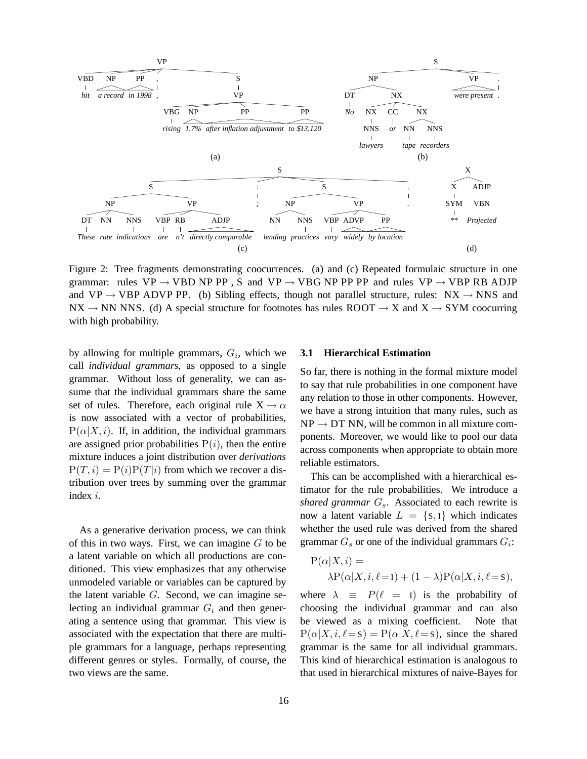

Figure 2: Tree fragments demonstrating coocurrences. (a) and (c) Repeated formulaic structure in one grammar: rules VP  $\rightarrow$  VBD NP PP, S and VP  $\rightarrow$  VBG NP PP PP and rules VP  $\rightarrow$  VBP RB ADJP and VP  $\rightarrow$  VBP ADVP PP. (b) Sibling effects, though not parallel structure, rules: NX  $\rightarrow$  NNS and  $NX \rightarrow NN NNS$ . (d) A special structure for footnotes has rules ROOT  $\rightarrow X$  and  $X \rightarrow SYM$  coocurring with high probability.

by allowing for multiple grammars,  $G_i$ , which we call *individual grammars*, as opposed to a single grammar. Without loss of generality, we can assume that the individual grammars share the same set of rules. Therefore, each original rule  $X \rightarrow \alpha$ is now associated with a vector of probabilities,  $P(\alpha|X, i)$ . If, in addition, the individual grammars are assigned prior probabilities  $P(i)$ , then the entire mixture induces a joint distribution over *derivations*  $P(T, i) = P(i)P(T|i)$  from which we recover a distribution over trees by summing over the grammar index i.

As a generative derivation process, we can think of this in two ways. First, we can imagine  $G$  to be a latent variable on which all productions are conditioned. This view emphasizes that any otherwise unmodeled variable or variables can be captured by the latent variable  $G$ . Second, we can imagine selecting an individual grammar  $G_i$  and then generating a sentence using that grammar. This view is associated with the expectation that there are multiple grammars for a language, perhaps representing different genres or styles. Formally, of course, the two views are the same.

### **3.1 Hierarchical Estimation**

So far, there is nothing in the formal mixture model to say that rule probabilities in one component have any relation to those in other components. However, we have a strong intuition that many rules, such as  $NP \rightarrow DT NN$ , will be common in all mixture components. Moreover, we would like to pool our data across components when appropriate to obtain more reliable estimators.

This can be accomplished with a hierarchical estimator for the rule probabilities. We introduce a *shared grammar*  $G_s$ . Associated to each rewrite is now a latent variable  $L = \{S, I\}$  which indicates whether the used rule was derived from the shared grammar  $G_s$  or one of the individual grammars  $G_i$ :

$$
P(\alpha|X, i) =
$$
  
 
$$
\lambda P(\alpha|X, i, \ell=1) + (1-\lambda)P(\alpha|X, i, \ell=s),
$$

where  $\lambda \equiv P(\ell = I)$  is the probability of choosing the individual grammar and can also be viewed as a mixing coefficient. Note that  $P(\alpha|X, i, \ell = s) = P(\alpha|X, \ell = s)$ , since the shared grammar is the same for all individual grammars. This kind of hierarchical estimation is analogous to that used in hierarchical mixtures of naive-Bayes for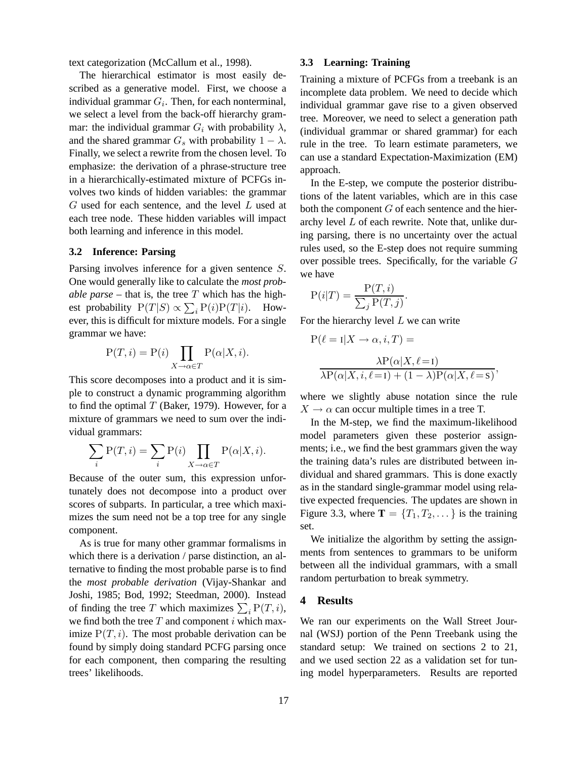text categorization (McCallum et al., 1998).

The hierarchical estimator is most easily described as a generative model. First, we choose a individual grammar  $G_i$ . Then, for each nonterminal, we select a level from the back-off hierarchy grammar: the individual grammar  $G_i$  with probability  $\lambda$ , and the shared grammar  $G_s$  with probability  $1 - \lambda$ . Finally, we select a rewrite from the chosen level. To emphasize: the derivation of a phrase-structure tree in a hierarchically-estimated mixture of PCFGs involves two kinds of hidden variables: the grammar  $G$  used for each sentence, and the level  $L$  used at each tree node. These hidden variables will impact both learning and inference in this model.

### **3.2 Inference: Parsing**

Parsing involves inference for a given sentence S. One would generally like to calculate the *most probable parse* – that is, the tree  $T$  which has the highest probability  $P(T|S) \propto \sum_i P(i)P(T|i)$ . However, this is difficult for mixture models. For a single grammar we have:

$$
P(T, i) = P(i) \prod_{X \to \alpha \in T} P(\alpha | X, i).
$$

This score decomposes into a product and it is simple to construct a dynamic programming algorithm to find the optimal  $T$  (Baker, 1979). However, for a mixture of grammars we need to sum over the individual grammars:

$$
\sum_{i} \mathcal{P}(T, i) = \sum_{i} \mathcal{P}(i) \prod_{X \to \alpha \in T} \mathcal{P}(\alpha | X, i).
$$

Because of the outer sum, this expression unfortunately does not decompose into a product over scores of subparts. In particular, a tree which maximizes the sum need not be a top tree for any single component.

As is true for many other grammar formalisms in which there is a derivation / parse distinction, an alternative to finding the most probable parse is to find the *most probable derivation* (Vijay-Shankar and Joshi, 1985; Bod, 1992; Steedman, 2000). Instead of finding the tree T which maximizes  $\sum_i P(T, i)$ , we find both the tree  $T$  and component  $i$  which maximize  $P(T, i)$ . The most probable derivation can be found by simply doing standard PCFG parsing once for each component, then comparing the resulting trees' likelihoods.

### **3.3 Learning: Training**

Training a mixture of PCFGs from a treebank is an incomplete data problem. We need to decide which individual grammar gave rise to a given observed tree. Moreover, we need to select a generation path (individual grammar or shared grammar) for each rule in the tree. To learn estimate parameters, we can use a standard Expectation-Maximization (EM) approach.

In the E-step, we compute the posterior distributions of the latent variables, which are in this case both the component  $G$  of each sentence and the hierarchy level L of each rewrite. Note that, unlike during parsing, there is no uncertainty over the actual rules used, so the E-step does not require summing over possible trees. Specifically, for the variable G we have

$$
P(i|T) = \frac{P(T,i)}{\sum_j P(T,j)}.
$$

For the hierarchy level  $L$  we can write

$$
P(\ell = I | X \to \alpha, i, T) =
$$

$$
\lambda P(\alpha | X, \ell = I)
$$

$$
\lambda P(\alpha | X, i, \ell = I) + (1 - \lambda)P(\alpha | X, \ell = S),
$$

where we slightly abuse notation since the rule  $X \rightarrow \alpha$  can occur multiple times in a tree T.

In the M-step, we find the maximum-likelihood model parameters given these posterior assignments; i.e., we find the best grammars given the way the training data's rules are distributed between individual and shared grammars. This is done exactly as in the standard single-grammar model using relative expected frequencies. The updates are shown in Figure 3.3, where  $\mathbf{T} = \{T_1, T_2, \dots\}$  is the training set.

We initialize the algorithm by setting the assignments from sentences to grammars to be uniform between all the individual grammars, with a small random perturbation to break symmetry.

# **4 Results**

We ran our experiments on the Wall Street Journal (WSJ) portion of the Penn Treebank using the standard setup: We trained on sections 2 to 21, and we used section 22 as a validation set for tuning model hyperparameters. Results are reported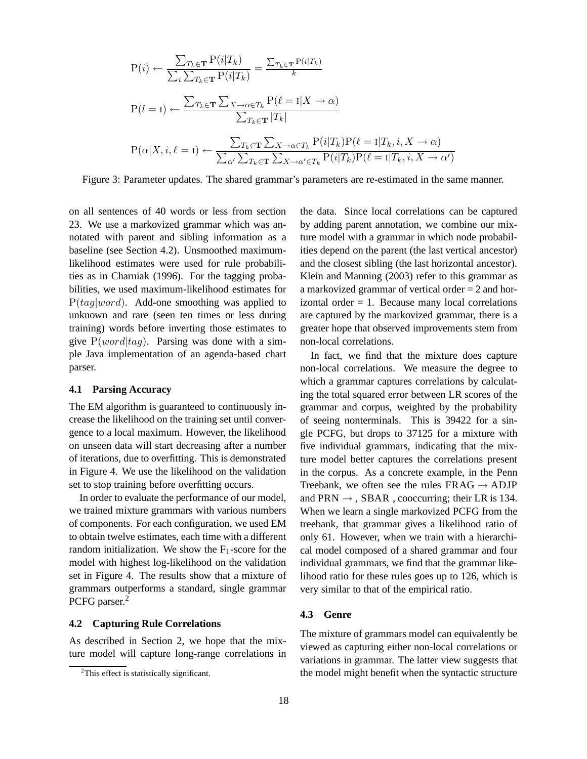$$
P(i) \leftarrow \frac{\sum_{T_k \in \mathbf{T}} P(i|T_k)}{\sum_i \sum_{T_k \in \mathbf{T}} P(i|T_k)} = \frac{\sum_{T_k \in \mathbf{T}} P(i|T_k)}{k}
$$
  
\n
$$
P(l=1) \leftarrow \frac{\sum_{T_k \in \mathbf{T}} \sum_{X \to \alpha \in T_k} P(\ell=1|X \to \alpha)}{\sum_{T_k \in \mathbf{T}} |T_k|}
$$
  
\n
$$
P(\alpha|X, i, \ell=1) \leftarrow \frac{\sum_{T_k \in \mathbf{T}} \sum_{X \to \alpha \in T_k} P(i|T_k) P(\ell=1|T_k, i, X \to \alpha)}{\sum_{\alpha'} \sum_{T_k \in \mathbf{T}} \sum_{X \to \alpha' \in T_k} P(i|T_k) P(\ell=1|T_k, i, X \to \alpha')}
$$

Figure 3: Parameter updates. The shared grammar's parameters are re-estimated in the same manner.

on all sentences of 40 words or less from section 23. We use a markovized grammar which was annotated with parent and sibling information as a baseline (see Section 4.2). Unsmoothed maximumlikelihood estimates were used for rule probabilities as in Charniak (1996). For the tagging probabilities, we used maximum-likelihood estimates for  $P(tag|word)$ . Add-one smoothing was applied to unknown and rare (seen ten times or less during training) words before inverting those estimates to give  $P(word|tag)$ . Parsing was done with a simple Java implementation of an agenda-based chart parser.

#### **4.1 Parsing Accuracy**

The EM algorithm is guaranteed to continuously increase the likelihood on the training set until convergence to a local maximum. However, the likelihood on unseen data will start decreasing after a number of iterations, due to overfitting. This is demonstrated in Figure 4. We use the likelihood on the validation set to stop training before overfitting occurs.

In order to evaluate the performance of our model, we trained mixture grammars with various numbers of components. For each configuration, we used EM to obtain twelve estimates, each time with a different random initialization. We show the  $F_1$ -score for the model with highest log-likelihood on the validation set in Figure 4. The results show that a mixture of grammars outperforms a standard, single grammar PCFG parser.<sup>2</sup>

## **4.2 Capturing Rule Correlations**

As described in Section 2, we hope that the mixture model will capture long-range correlations in the data. Since local correlations can be captured by adding parent annotation, we combine our mixture model with a grammar in which node probabilities depend on the parent (the last vertical ancestor) and the closest sibling (the last horizontal ancestor). Klein and Manning (2003) refer to this grammar as a markovized grammar of vertical order = 2 and horizontal order  $= 1$ . Because many local correlations are captured by the markovized grammar, there is a greater hope that observed improvements stem from non-local correlations.

In fact, we find that the mixture does capture non-local correlations. We measure the degree to which a grammar captures correlations by calculating the total squared error between LR scores of the grammar and corpus, weighted by the probability of seeing nonterminals. This is 39422 for a single PCFG, but drops to 37125 for a mixture with five individual grammars, indicating that the mixture model better captures the correlations present in the corpus. As a concrete example, in the Penn Treebank, we often see the rules  $FRAG \rightarrow ADJP$ and PRN  $\rightarrow$ , SBAR, cooccurring; their LR is 134. When we learn a single markovized PCFG from the treebank, that grammar gives a likelihood ratio of only 61. However, when we train with a hierarchical model composed of a shared grammar and four individual grammars, we find that the grammar likelihood ratio for these rules goes up to 126, which is very similar to that of the empirical ratio.

#### **4.3 Genre**

The mixture of grammars model can equivalently be viewed as capturing either non-local correlations or variations in grammar. The latter view suggests that the model might benefit when the syntactic structure

 $2$ This effect is statistically significant.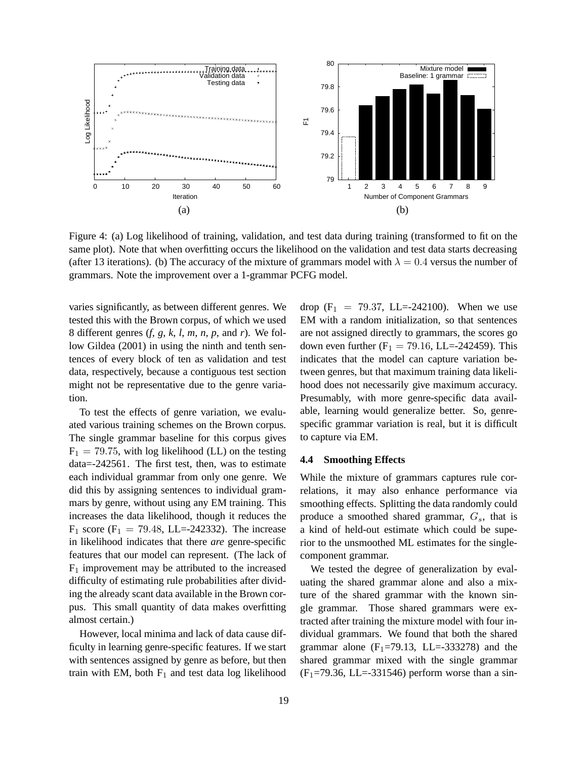

Figure 4: (a) Log likelihood of training, validation, and test data during training (transformed to fit on the same plot). Note that when overfitting occurs the likelihood on the validation and test data starts decreasing (after 13 iterations). (b) The accuracy of the mixture of grammars model with  $\lambda = 0.4$  versus the number of grammars. Note the improvement over a 1-grammar PCFG model.

varies significantly, as between different genres. We tested this with the Brown corpus, of which we used 8 different genres (*f*, *g*, *k*, *l*, *m*, *n*, *p*, and *r*). We follow Gildea (2001) in using the ninth and tenth sentences of every block of ten as validation and test data, respectively, because a contiguous test section might not be representative due to the genre variation.

To test the effects of genre variation, we evaluated various training schemes on the Brown corpus. The single grammar baseline for this corpus gives  $F_1 = 79.75$ , with log likelihood (LL) on the testing data=-242561. The first test, then, was to estimate each individual grammar from only one genre. We did this by assigning sentences to individual grammars by genre, without using any EM training. This increases the data likelihood, though it reduces the  $F_1$  score ( $F_1 = 79.48$ , LL=-242332). The increase in likelihood indicates that there *are* genre-specific features that our model can represent. (The lack of  $F_1$  improvement may be attributed to the increased difficulty of estimating rule probabilities after dividing the already scant data available in the Brown corpus. This small quantity of data makes overfitting almost certain.)

However, local minima and lack of data cause difficulty in learning genre-specific features. If we start with sentences assigned by genre as before, but then train with EM, both  $F_1$  and test data log likelihood drop (F<sub>1</sub> = 79.37, LL=-242100). When we use EM with a random initialization, so that sentences are not assigned directly to grammars, the scores go down even further  $(F_1 = 79.16, LL = -242459)$ . This indicates that the model can capture variation between genres, but that maximum training data likelihood does not necessarily give maximum accuracy. Presumably, with more genre-specific data available, learning would generalize better. So, genrespecific grammar variation is real, but it is difficult to capture via EM.

#### **4.4 Smoothing Effects**

While the mixture of grammars captures rule correlations, it may also enhance performance via smoothing effects. Splitting the data randomly could produce a smoothed shared grammar,  $G_s$ , that is a kind of held-out estimate which could be superior to the unsmoothed ML estimates for the singlecomponent grammar.

We tested the degree of generalization by evaluating the shared grammar alone and also a mixture of the shared grammar with the known single grammar. Those shared grammars were extracted after training the mixture model with four individual grammars. We found that both the shared grammar alone  $(F_1=79.13, L=L=333278)$  and the shared grammar mixed with the single grammar  $(F<sub>1</sub>=79.36, LL=-331546)$  perform worse than a sin